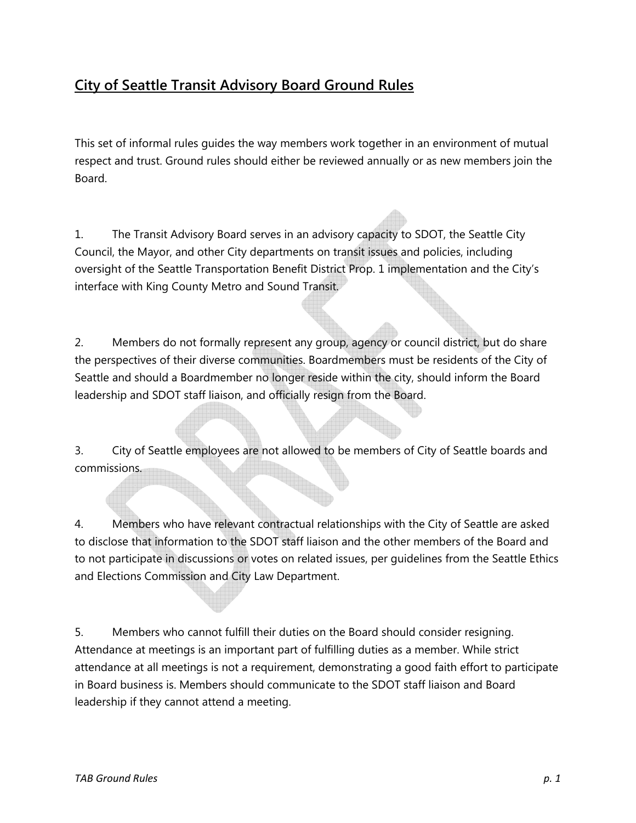## City of Seattle Transit Advisory Board Ground Rules

This set of informal rules guides the way members work together in an environment of mutual respect and trust. Ground rules should either be reviewed annually or as new members join the Board.

1. The Transit Advisory Board serves in an advisory capacity to SDOT, the Seattle City Council, the Mayor, and other City departments on transit issues and policies, including oversight of the Seattle Transportation Benefit District Prop. 1 implementation and the City's interface with King County Metro and Sound Transit.

2. Members do not formally represent any group, agency or council district, but do share the perspectives of their diverse communities. Boardmembers must be residents of the City of Seattle and should a Boardmember no longer reside within the city, should inform the Board leadership and SDOT staff liaison, and officially resign from the Board.

3. City of Seattle employees are not allowed to be members of City of Seattle boards and commissions.

4. Members who have relevant contractual relationships with the City of Seattle are asked to disclose that information to the SDOT staff liaison and the other members of the Board and to not participate in discussions or votes on related issues, per guidelines from the Seattle Ethics and Elections Commission and City Law Department.

5. Members who cannot fulfill their duties on the Board should consider resigning. Attendance at meetings is an important part of fulfilling duties as a member. While strict attendance at all meetings is not a requirement, demonstrating a good faith effort to participate in Board business is. Members should communicate to the SDOT staff liaison and Board leadership if they cannot attend a meeting.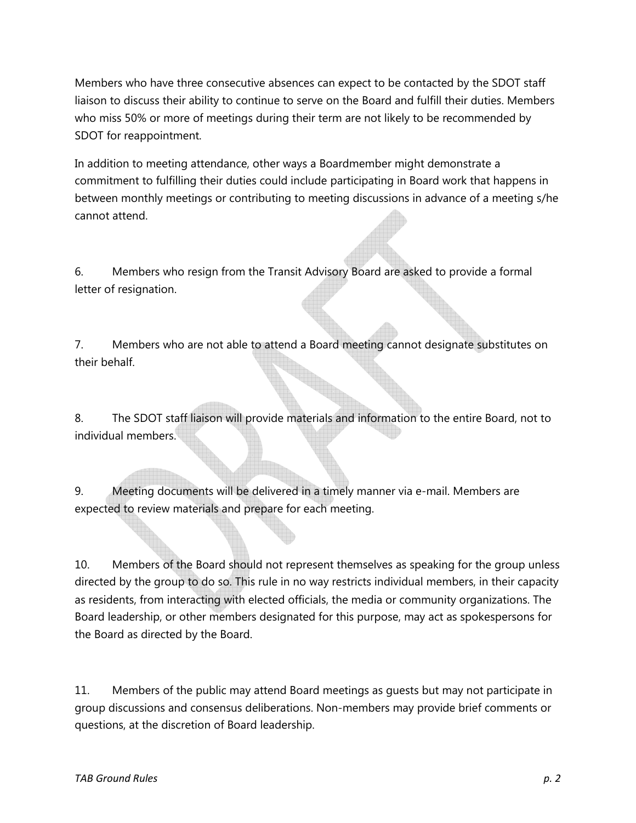Members who have three consecutive absences can expect to be contacted by the SDOT staff liaison to discuss their ability to continue to serve on the Board and fulfill their duties. Members who miss 50% or more of meetings during their term are not likely to be recommended by SDOT for reappointment.

In addition to meeting attendance, other ways a Boardmember might demonstrate a commitment to fulfilling their duties could include participating in Board work that happens in between monthly meetings or contributing to meeting discussions in advance of a meeting s/he cannot attend.

6. Members who resign from the Transit Advisory Board are asked to provide a formal letter of resignation.

7. Members who are not able to attend a Board meeting cannot designate substitutes on their behalf.

8. The SDOT staff liaison will provide materials and information to the entire Board, not to individual members.

9. Meeting documents will be delivered in a timely manner via e-mail. Members are expected to review materials and prepare for each meeting.

10. Members of the Board should not represent themselves as speaking for the group unless directed by the group to do so. This rule in no way restricts individual members, in their capacity as residents, from interacting with elected officials, the media or community organizations. The Board leadership, or other members designated for this purpose, may act as spokespersons for the Board as directed by the Board.

11. Members of the public may attend Board meetings as guests but may not participate in group discussions and consensus deliberations. Non-members may provide brief comments or questions, at the discretion of Board leadership.